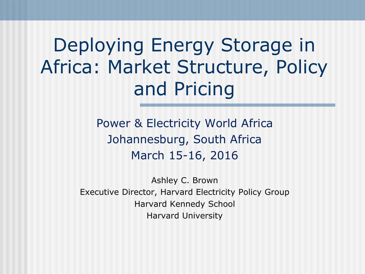Deploying Energy Storage in Africa: Market Structure, Policy and Pricing

> Power & Electricity World Africa Johannesburg, South Africa March 15-16, 2016

Ashley C. Brown Executive Director, Harvard Electricity Policy Group Harvard Kennedy School Harvard University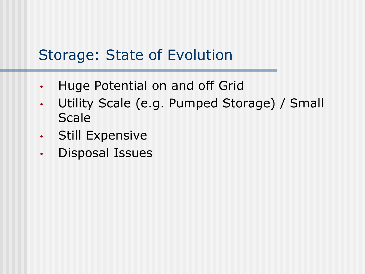#### Storage: State of Evolution

- Huge Potential on and off Grid
- Utility Scale (e.g. Pumped Storage) / Small **Scale**
- Still Expensive
- Disposal Issues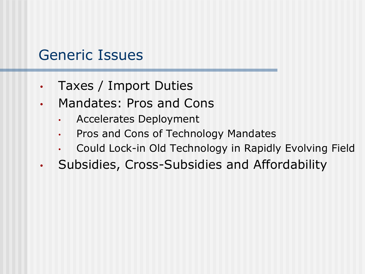#### Generic Issues

- Taxes / Import Duties
- Mandates: Pros and Cons
	- Accelerates Deployment
	- Pros and Cons of Technology Mandates
	- Could Lock-in Old Technology in Rapidly Evolving Field
- Subsidies, Cross-Subsidies and Affordability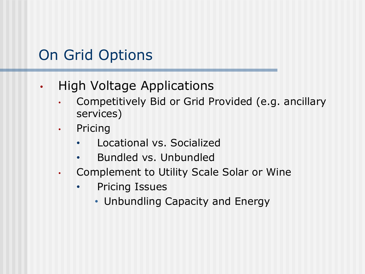## On Grid Options

- High Voltage Applications
	- Competitively Bid or Grid Provided (e.g. ancillary services)
	- Pricing
		- Locational vs. Socialized
		- Bundled vs. Unbundled
	- Complement to Utility Scale Solar or Wine
		- Pricing Issues
			- Unbundling Capacity and Energy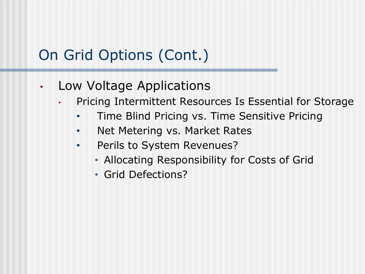# On Grid Options (Cont.)

- Low Voltage Applications
	- Pricing Intermittent Resources Is Essential for Storage
		- Time Blind Pricing vs. Time Sensitive Pricing
		- Net Metering vs. Market Rates
		- Perils to System Revenues?
			- Allocating Responsibility for Costs of Grid
			- Grid Defections?